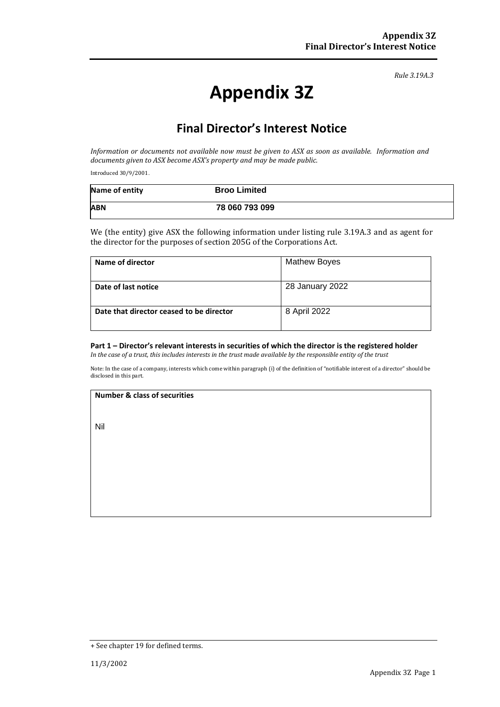*Rule 3.19A.3*

# **Appendix 3Z**

## **Final Director's Interest Notice**

*Information or documents not available now must be given to ASX as soon as available. Information and documents given to ASX become ASX's property and may be made public.*

Introduced 30/9/2001.

| Name of entity | <b>Broo Limited</b> |
|----------------|---------------------|
| <b>ABN</b>     | 78 060 793 099      |

We (the entity) give ASX the following information under listing rule 3.19A.3 and as agent for the director for the purposes of section 205G of the Corporations Act.

| Name of director                         | <b>Mathew Boyes</b> |
|------------------------------------------|---------------------|
| Date of last notice                      | 28 January 2022     |
| Date that director ceased to be director | 8 April 2022        |

## **Part 1 – Director's relevant interests in securities of which the director is the registered holder**

*In the case of a trust, this includes interests in the trust made available by the responsible entity of the trust*

Note: In the case of a company, interests which come within paragraph (i) of the definition of "notifiable interest of a director" should be disclosed in this part.

#### **Number & class of securities**

Nil

<sup>+</sup> See chapter 19 for defined terms.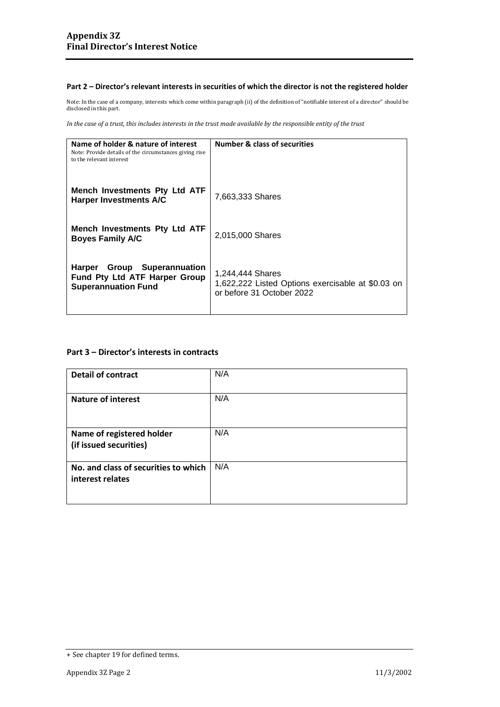### **Part 2 – Director's relevant interests in securities of which the director is not the registered holder**

Note: In the case of a company, interests which come within paragraph (ii) of the definition of "notifiable interest of a director" should be disclosed in this part.

*In the case of a trust, this includes interests in the trust made available by the responsible entity of the trust*

| Name of holder & nature of interest<br>Note: Provide details of the circumstances giving rise<br>to the relevant interest | <b>Number &amp; class of securities</b>                                                            |
|---------------------------------------------------------------------------------------------------------------------------|----------------------------------------------------------------------------------------------------|
| Mench Investments Pty Ltd ATF<br><b>Harper Investments A/C</b>                                                            | 7,663,333 Shares                                                                                   |
| Mench Investments Pty Ltd ATF<br><b>Boyes Family A/C</b>                                                                  | 2,015,000 Shares                                                                                   |
| Group Superannuation<br><b>Harper</b><br>Fund Pty Ltd ATF Harper Group<br><b>Superannuation Fund</b>                      | 1,244,444 Shares<br>1,622,222 Listed Options exercisable at \$0.03 on<br>or before 31 October 2022 |

## **Part 3 – Director's interests in contracts**

| <b>Detail of contract</b>                                | N/A |
|----------------------------------------------------------|-----|
| <b>Nature of interest</b>                                | N/A |
| Name of registered holder<br>(if issued securities)      | N/A |
| No. and class of securities to which<br>interest relates | N/A |

<sup>+</sup> See chapter 19 for defined terms.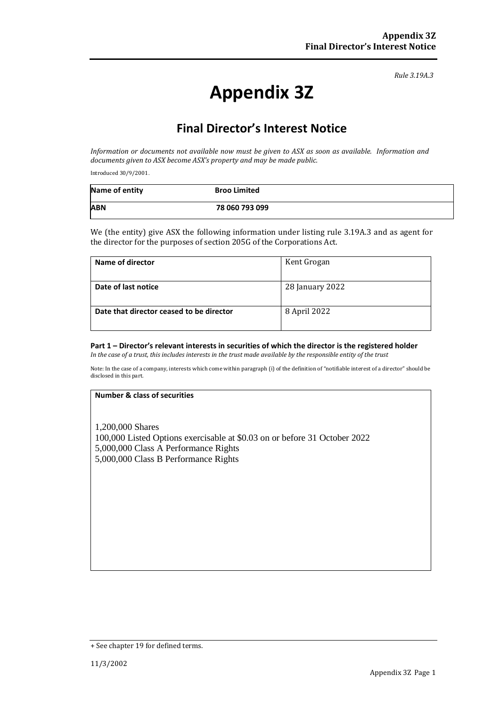*Rule 3.19A.3*

# **Appendix 3Z**

## **Final Director's Interest Notice**

*Information or documents not available now must be given to ASX as soon as available. Information and documents given to ASX become ASX's property and may be made public.*

Introduced 30/9/2001.

| Name of entity | <b>Broo Limited</b> |
|----------------|---------------------|
| <b>ABN</b>     | 78 060 793 099      |

We (the entity) give ASX the following information under listing rule 3.19A.3 and as agent for the director for the purposes of section 205G of the Corporations Act.

| Name of director                         | Kent Grogan     |
|------------------------------------------|-----------------|
| Date of last notice                      | 28 January 2022 |
| Date that director ceased to be director | 8 April 2022    |

## **Part 1 – Director's relevant interests in securities of which the director is the registered holder**

*In the case of a trust, this includes interests in the trust made available by the responsible entity of the trust*

Note: In the case of a company, interests which come within paragraph (i) of the definition of "notifiable interest of a director" should be disclosed in this part.

## **Number & class of securities**

1,200,000 Shares 100,000 Listed Options exercisable at \$0.03 on or before 31 October 2022 5,000,000 Class A Performance Rights 5,000,000 Class B Performance Rights

<sup>+</sup> See chapter 19 for defined terms.